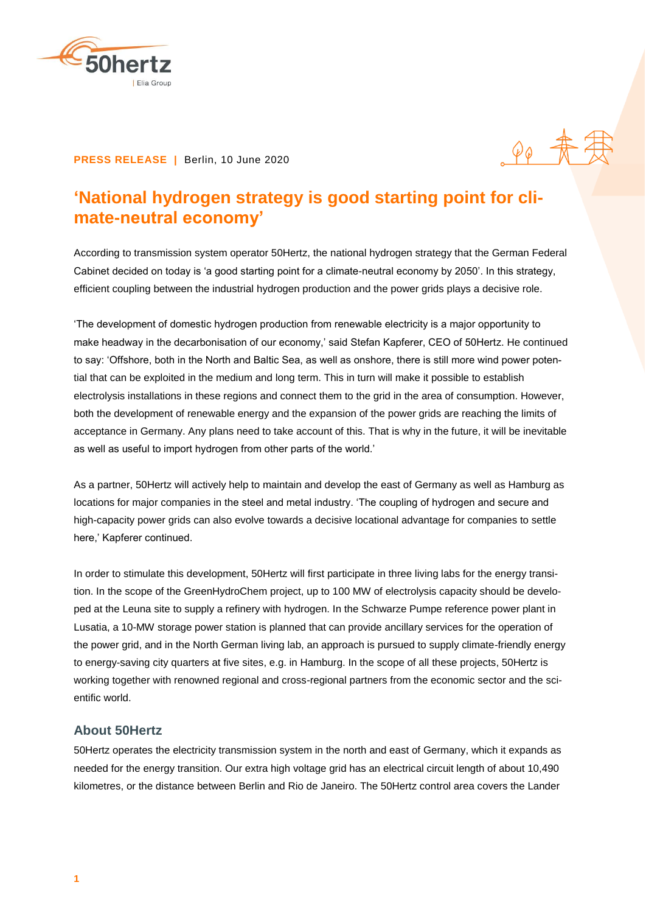

## **PRESS RELEASE |** Berlin, 10 June 2020

## **'National hydrogen strategy is good starting point for climate-neutral economy'**

 $90 + 1$ 

According to transmission system operator 50Hertz, the national hydrogen strategy that the German Federal Cabinet decided on today is 'a good starting point for a climate-neutral economy by 2050'. In this strategy, efficient coupling between the industrial hydrogen production and the power grids plays a decisive role.

'The development of domestic hydrogen production from renewable electricity is a major opportunity to make headway in the decarbonisation of our economy,' said Stefan Kapferer, CEO of 50Hertz. He continued to say: 'Offshore, both in the North and Baltic Sea, as well as onshore, there is still more wind power potential that can be exploited in the medium and long term. This in turn will make it possible to establish electrolysis installations in these regions and connect them to the grid in the area of consumption. However, both the development of renewable energy and the expansion of the power grids are reaching the limits of acceptance in Germany. Any plans need to take account of this. That is why in the future, it will be inevitable as well as useful to import hydrogen from other parts of the world.'

As a partner, 50Hertz will actively help to maintain and develop the east of Germany as well as Hamburg as locations for major companies in the steel and metal industry. 'The coupling of hydrogen and secure and high-capacity power grids can also evolve towards a decisive locational advantage for companies to settle here,' Kapferer continued.

In order to stimulate this development, 50Hertz will first participate in three living labs for the energy transition. In the scope of the GreenHydroChem project, up to 100 MW of electrolysis capacity should be developed at the Leuna site to supply a refinery with hydrogen. In the Schwarze Pumpe reference power plant in Lusatia, a 10-MW storage power station is planned that can provide ancillary services for the operation of the power grid, and in the North German living lab, an approach is pursued to supply climate-friendly energy to energy-saving city quarters at five sites, e.g. in Hamburg. In the scope of all these projects, 50Hertz is working together with renowned regional and cross-regional partners from the economic sector and the scientific world.

## **About 50Hertz**

50Hertz operates the electricity transmission system in the north and east of Germany, which it expands as needed for the energy transition. Our extra high voltage grid has an electrical circuit length of about 10,490 kilometres, or the distance between Berlin and Rio de Janeiro. The 50Hertz control area covers the Lander